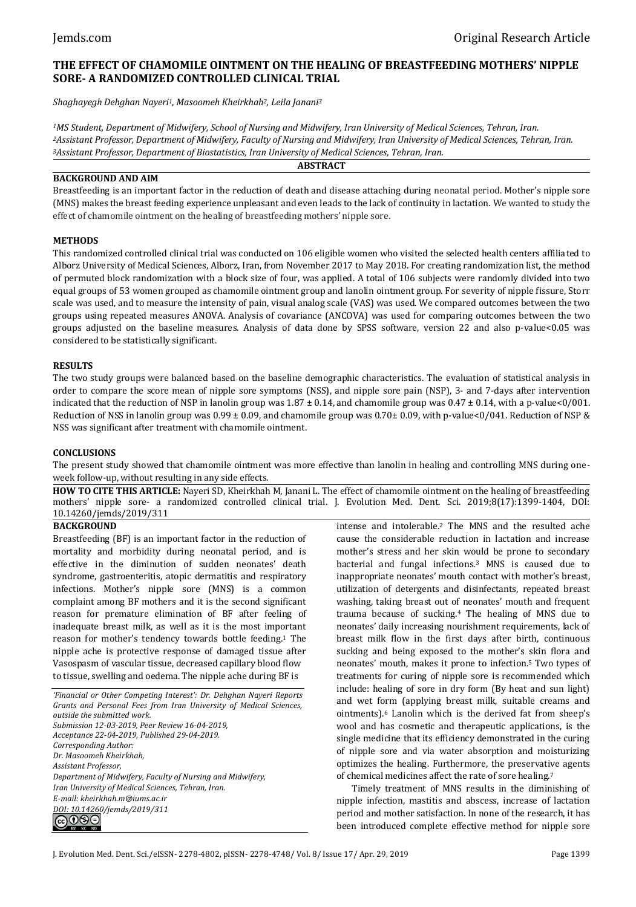# **THE EFFECT OF CHAMOMILE OINTMENT ON THE HEALING OF BREASTFEEDING MOTHERS' NIPPLE SORE- A RANDOMIZED CONTROLLED CLINICAL TRIAL**

*Shaghayegh Dehghan Nayeri1, Masoomeh Kheirkhah2, Leila Janani<sup>3</sup>*

*MS Student, Department of Midwifery, School of Nursing and Midwifery, Iran University of Medical Sciences, Tehran, Iran. Assistant Professor, Department of Midwifery, Faculty of Nursing and Midwifery, Iran University of Medical Sciences, Tehran, Iran. Assistant Professor, Department of Biostatistics, Iran University of Medical Sciences, Tehran, Iran.* **ABSTRACT**

# **BACKGROUND AND AIM**

Breastfeeding is an important factor in the reduction of death and disease attaching during neonatal period. Mother's nipple sore (MNS) makes the breast feeding experience unpleasant and even leads to the lack of continuity in lactation. We wanted to study the effect of chamomile ointment on the healing of breastfeeding mothers' nipple sore.

# **METHODS**

This randomized controlled clinical trial was conducted on 106 eligible women who visited the selected health centers affiliated to Alborz University of Medical Sciences, Alborz, Iran, from November 2017 to May 2018. For creating randomization list, the method of permuted block randomization with a block size of four, was applied. A total of 106 subjects were randomly divided into two equal groups of 53 women grouped as chamomile ointment group and lanolin ointment group. For severity of nipple fissure, Storr scale was used, and to measure the intensity of pain, visual analog scale (VAS) was used. We compared outcomes between the two groups using repeated measures ANOVA. Analysis of covariance (ANCOVA) was used for comparing outcomes between the two groups adjusted on the baseline measures. Analysis of data done by SPSS software, version 22 and also p-value<0.05 was considered to be statistically significant.

# **RESULTS**

The two study groups were balanced based on the baseline demographic characteristics. The evaluation of statistical analysis in order to compare the score mean of nipple sore symptoms (NSS), and nipple sore pain (NSP), 3- and 7-days after intervention indicated that the reduction of NSP in lanolin group was  $1.87 \pm 0.14$ , and chamomile group was  $0.47 \pm 0.14$ , with a p-value<0/001. Reduction of NSS in lanolin group was  $0.99 \pm 0.09$ , and chamomile group was  $0.70 \pm 0.09$ , with p-value<0/041. Reduction of NSP & NSS was significant after treatment with chamomile ointment.

# **CONCLUSIONS**

The present study showed that chamomile ointment was more effective than lanolin in healing and controlling MNS during oneweek follow-up, without resulting in any side effects.

**HOW TO CITE THIS ARTICLE:** Nayeri SD, Kheirkhah M, Janani L. The effect of chamomile ointment on the healing of breastfeeding mothers' nipple sore- a randomized controlled clinical trial. J. Evolution Med. Dent. Sci. 2019;8(17):1399-1404, DOI: 10.14260/jemds/2019/311

# **BACKGROUND**

Breastfeeding (BF) is an important factor in the reduction of mortality and morbidity during neonatal period, and is effective in the diminution of sudden neonates' death syndrome, gastroenteritis, atopic dermatitis and respiratory infections. Mother's nipple sore (MNS) is a common complaint among BF mothers and it is the second significant reason for premature elimination of BF after feeling of inadequate breast milk, as well as it is the most important reason for mother's tendency towards bottle feeding. <sup>1</sup> The nipple ache is protective response of damaged tissue after Vasospasm of vascular tissue, decreased capillary blood flow to tissue, swelling and oedema. The nipple ache during BF is

*'Financial or Other Competing Interest': Dr. Dehghan Nayeri Reports Grants and Personal Fees from Iran University of Medical Sciences, outside the submitted work. Submission 12-03-2019, Peer Review 16-04-2019, Acceptance 22-04-2019, Published 29-04-2019. Corresponding Author: Dr. Masoomeh Kheirkhah, Assistant Professor, Department of Midwifery, Faculty of Nursing and Midwifery, Iran University of Medical Sciences, Tehran, Iran. E-mail: kheirkhah.m@iums.ac.ir DOI: 10.14260/jemds/2019/311* ெ⊕ெ

intense and intolerable.<sup>2</sup> The MNS and the resulted ache cause the considerable reduction in lactation and increase mother's stress and her skin would be prone to secondary bacterial and fungal infections.<sup>3</sup> MNS is caused due to inappropriate neonates' mouth contact with mother's breast, utilization of detergents and disinfectants, repeated breast washing, taking breast out of neonates' mouth and frequent trauma because of sucking.<sup>4</sup> The healing of MNS due to neonates' daily increasing nourishment requirements, lack of breast milk flow in the first days after birth, continuous sucking and being exposed to the mother's skin flora and neonates' mouth, makes it prone to infection.5 Two types of treatments for curing of nipple sore is recommended which include: healing of sore in dry form (By heat and sun light) and wet form (applying breast milk, suitable creams and ointments).<sup>6</sup> Lanolin which is the derived fat from sheep's wool and has cosmetic and therapeutic applications, is the single medicine that its efficiency demonstrated in the curing of nipple sore and via water absorption and moisturizing optimizes the healing. Furthermore, the preservative agents of chemical medicines affect the rate of sore healing.<sup>7</sup>

Timely treatment of MNS results in the diminishing of nipple infection, mastitis and abscess, increase of lactation period and mother satisfaction. In none of the research, it has been introduced complete effective method for nipple sore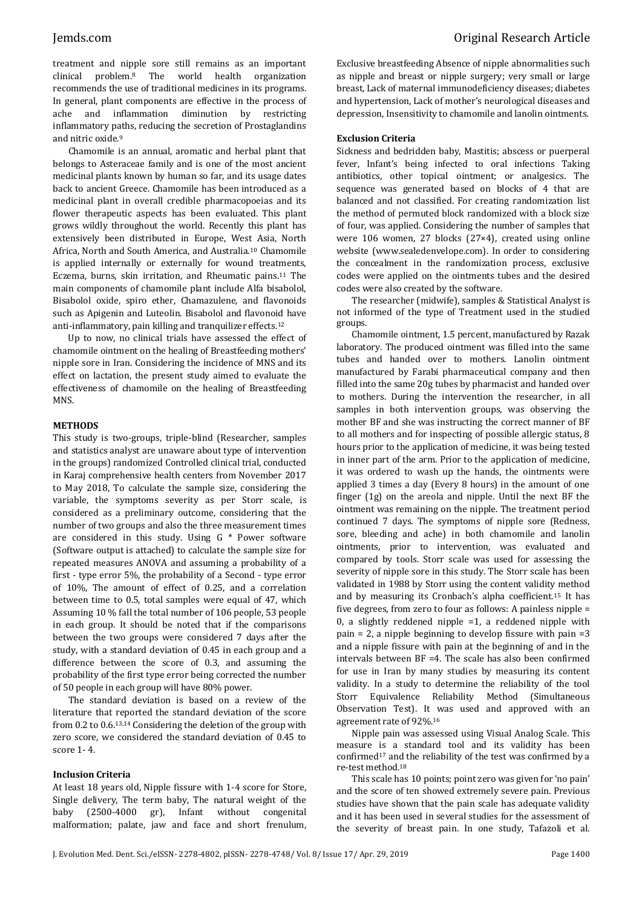treatment and nipple sore still remains as an important clinical problem. <sup>8</sup> The world health organization recommends the use of traditional medicines in its programs. In general, plant components are effective in the process of ache and inflammation diminution by restricting inflammatory paths, reducing the secretion of Prostaglandins and nitric oxide. 9

Chamomile is an annual, aromatic and herbal plant that belongs to Asteraceae family and is one of the most ancient medicinal plants known by human so far, and its usage dates back to ancient Greece. Chamomile has been introduced as a medicinal plant in overall credible pharmacopoeias and its flower therapeutic aspects has been evaluated. This plant grows wildly throughout the world. Recently this plant has extensively been distributed in Europe, West Asia, North Africa, North and South America, and Australia.<sup>10</sup> Chamomile is applied internally or externally for wound treatments, Eczema, burns, skin irritation, and Rheumatic pains.<sup>11</sup> The main components of chamomile plant include Alfa bisabolol, Bisabolol oxide, spiro ether, Chamazulene, and flavonoids such as Apigenin and Luteolin. Bisabolol and flavonoid have anti-inflammatory, pain killing and tranquilizer effects.<sup>12</sup>

Up to now, no clinical trials have assessed the effect of chamomile ointment on the healing of Breastfeeding mothers' nipple sore in Iran. Considering the incidence of MNS and its effect on lactation, the present study aimed to evaluate the effectiveness of chamomile on the healing of Breastfeeding MNS.

# **METHODS**

This study is two-groups, triple-blind (Researcher, samples and statistics analyst are unaware about type of intervention in the groups) randomized Controlled clinical trial, conducted in Karaj comprehensive health centers from November 2017 to May 2018, To calculate the sample size, considering the variable, the symptoms severity as per Storr scale, is considered as a preliminary outcome, considering that the number of two groups and also the three measurement times are considered in this study. Using G \* Power software (Software output is attached) to calculate the sample size for repeated measures ANOVA and assuming a probability of a first - type error 5%, the probability of a Second - type error of 10%, The amount of effect of 0.25, and a correlation between time to 0.5, total samples were equal of 47, which Assuming 10 % fall the total number of 106 people, 53 people in each group. It should be noted that if the comparisons between the two groups were considered 7 days after the study, with a standard deviation of 0.45 in each group and a difference between the score of 0.3, and assuming the probability of the first type error being corrected the number of 50 people in each group will have 80% power.

The standard deviation is based on a review of the literature that reported the standard deviation of the score from 0.2 to 0.6.13,14 Considering the deletion of the group with zero score, we considered the standard deviation of 0.45 to score 1- 4.

# **Inclusion Criteria**

At least 18 years old, Nipple fissure with 1-4 score for Store, Single delivery, The term baby, The natural weight of the baby (2500-4000 gr), Infant without congenital malformation; palate, jaw and face and short frenulum, Exclusive breastfeeding Absence of nipple abnormalities such as nipple and breast or nipple surgery; very small or large breast, Lack of maternal immunodeficiency diseases; diabetes and hypertension, Lack of mother's neurological diseases and depression, Insensitivity to chamomile and lanolin ointments.

### **Exclusion Criteria**

Sickness and bedridden baby, Mastitis; abscess or puerperal fever, Infant's being infected to oral infections Taking antibiotics, other topical ointment; or analgesics. The sequence was generated based on blocks of 4 that are balanced and not classified. For creating randomization list the method of permuted block randomized with a block size of four, was applied. Considering the number of samples that were 106 women, 27 blocks (27×4), created using online website (www.sealedenvelope.com). In order to considering the concealment in the randomization process, exclusive codes were applied on the ointments tubes and the desired codes were also created by the software.

The researcher (midwife), samples & Statistical Analyst is not informed of the type of Treatment used in the studied groups.

Chamomile ointment, 1.5 percent, manufactured by Razak laboratory. The produced ointment was filled into the same tubes and handed over to mothers. Lanolin ointment manufactured by Farabi pharmaceutical company and then filled into the same 20g tubes by pharmacist and handed over to mothers. During the intervention the researcher, in all samples in both intervention groups, was observing the mother BF and she was instructing the correct manner of BF to all mothers and for inspecting of possible allergic status, 8 hours prior to the application of medicine, it was being tested in inner part of the arm. Prior to the application of medicine, it was ordered to wash up the hands, the ointments were applied 3 times a day (Every 8 hours) in the amount of one finger (1g) on the areola and nipple. Until the next BF the ointment was remaining on the nipple. The treatment period continued 7 days. The symptoms of nipple sore (Redness, sore, bleeding and ache) in both chamomile and lanolin ointments, prior to intervention, was evaluated and compared by tools. Storr scale was used for assessing the severity of nipple sore in this study. The Storr scale has been validated in 1988 by Storr using the content validity method and by measuring its Cronbach's alpha coefficient.<sup>15</sup> It has five degrees, from zero to four as follows: A painless nipple = 0, a slightly reddened nipple  $=1$ , a reddened nipple with pain = 2, a nipple beginning to develop fissure with pain =3 and a nipple fissure with pain at the beginning of and in the intervals between BF =4. The scale has also been confirmed for use in Iran by many studies by measuring its content validity. In a study to determine the reliability of the tool Storr Equivalence Reliability Method (Simultaneous Observation Test). It was used and approved with an agreement rate of 92%.<sup>16</sup>

Nipple pain was assessed using Visual Analog Scale. This measure is a standard tool and its validity has been confirmed<sup>17</sup> and the reliability of the test was confirmed by a re-test method.<sup>18</sup>

This scale has 10 points; point zero was given for 'no pain' and the score of ten showed extremely severe pain. Previous studies have shown that the pain scale has adequate validity and it has been used in several studies for the assessment of the severity of breast pain. In one study, Tafazoli et al.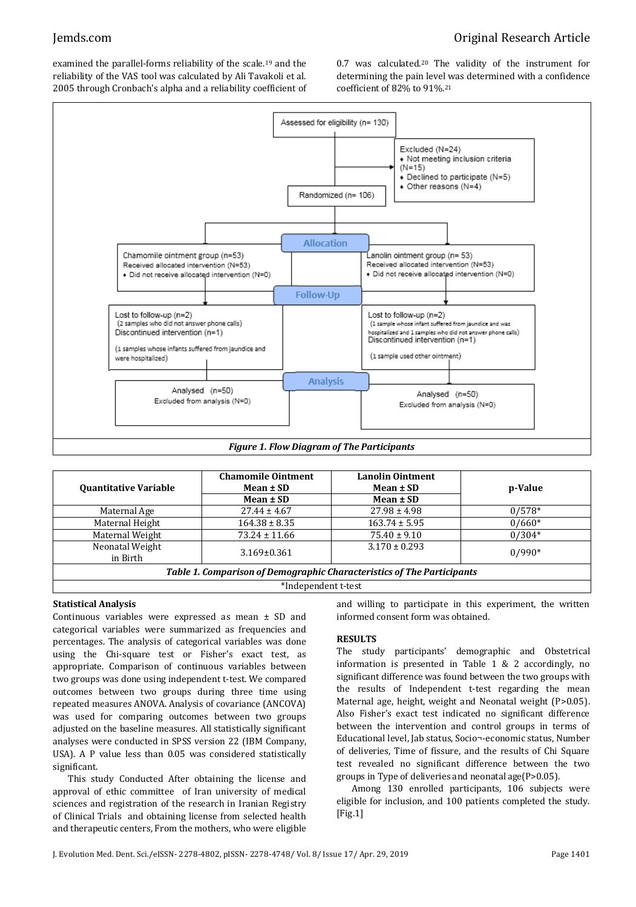# Jemds.com Original Research Article

examined the parallel-forms reliability of the scale.<sup>19</sup> and the reliability of the VAS tool was calculated by Ali Tavakoli et al. 2005 through Cronbach's alpha and a reliability coefficient of 0.7 was calculated.<sup>20</sup> The validity of the instrument for determining the pain level was determined with a confidence coefficient of 82% to 91%.<sup>21</sup>



| <b>Quantitative Variable</b>                                           | <b>Chamomile Ointment</b><br>Mean $\pm$ SD | <b>Lanolin Ointment</b><br>Mean $\pm$ SD | p-Value  |  |  |
|------------------------------------------------------------------------|--------------------------------------------|------------------------------------------|----------|--|--|
|                                                                        | $Mean \pm SD$                              | Mean $\pm$ SD                            |          |  |  |
| Maternal Age                                                           | $27.44 \pm 4.67$                           | $27.98 \pm 4.98$                         | $0/578*$ |  |  |
| Maternal Height                                                        | $164.38 \pm 8.35$                          | $163.74 \pm 5.95$                        | $0/660*$ |  |  |
| Maternal Weight                                                        | $73.24 \pm 11.66$                          | $75.40 \pm 9.10$                         | $0/304*$ |  |  |
| Neonatal Weight<br>in Birth                                            | $3.169 \pm 0.361$                          | $3.170 \pm 0.293$                        | $0/990*$ |  |  |
| Table 1. Comparison of Demographic Characteristics of The Participants |                                            |                                          |          |  |  |
| *Independent t-test                                                    |                                            |                                          |          |  |  |

# **Statistical Analysis**

Continuous variables were expressed as mean ± SD and categorical variables were summarized as frequencies and percentages. The analysis of categorical variables was done using the Chi-square test or Fisher's exact test, as appropriate. Comparison of continuous variables between two groups was done using independent t-test. We compared outcomes between two groups during three time using repeated measures ANOVA. Analysis of covariance (ANCOVA) was used for comparing outcomes between two groups adjusted on the baseline measures. All statistically significant analyses were conducted in SPSS version 22 (IBM Company, USA). A P value less than 0.05 was considered statistically significant.

This study Conducted After obtaining the license and approval of ethic committee of Iran university of medical sciences and registration of the research in Iranian Registry of Clinical Trials and obtaining license from selected health and therapeutic centers, From the mothers, who were eligible and willing to participate in this experiment, the written informed consent form was obtained.

# **RESULTS**

The study participants' demographic and Obstetrical information is presented in Table 1 & 2 accordingly, no significant difference was found between the two groups with the results of Independent t-test regarding the mean Maternal age, height, weight and Neonatal weight (P>0.05). Also Fisher's exact test indicated no significant difference between the intervention and control groups in terms of Educational level, Jab status, Socio¬-economic status, Number of deliveries, Time of fissure, and the results of Chi Square test revealed no significant difference between the two groups in Type of deliveries and neonatal age(P>0.05).

Among 130 enrolled participants, 106 subjects were eligible for inclusion, and 100 patients completed the study. [Fig.1]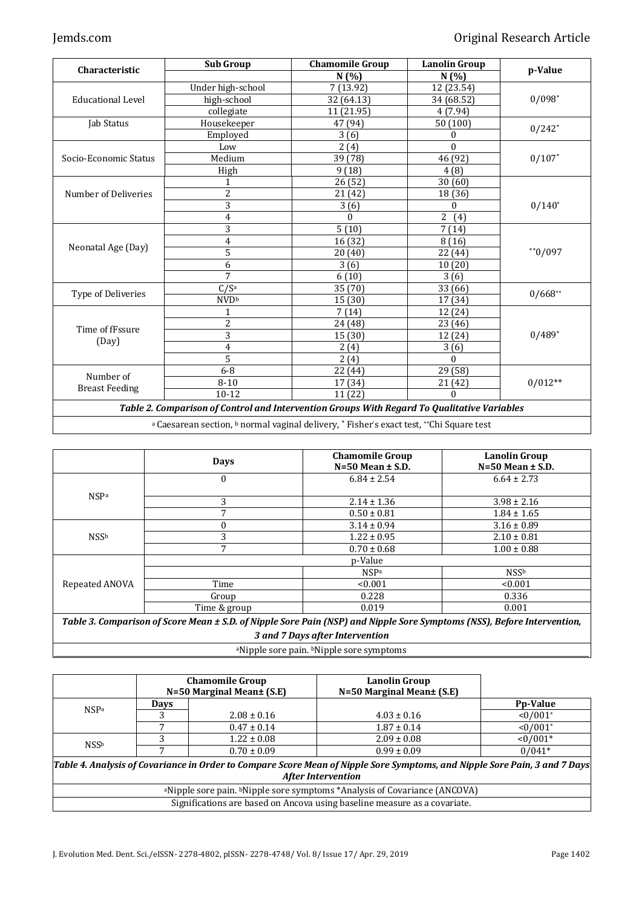|                          | <b>Sub Group</b>   | <b>Chamomile Group</b>  | <b>Lanolin Group</b>  |                      |  |
|--------------------------|--------------------|-------------------------|-----------------------|----------------------|--|
| Characteristic           |                    | N(%)                    | N(%)                  | p-Value              |  |
| <b>Educational Level</b> | Under high-school  | 7 (13.92)               | 12 (23.54)            |                      |  |
|                          | high-school        | 32 (64.13)              | 34 (68.52)            | $0/098*$             |  |
|                          | collegiate         | 11 (21.95)              | 4(7.94)               |                      |  |
| Jab Status               | Housekeeper        | 47 (94)                 | 50(100)               | $0/242$ <sup>*</sup> |  |
|                          | Employed           | 3(6)                    | 0                     |                      |  |
|                          | Low                | 2(4)                    | $\Omega$              |                      |  |
| Socio-Economic Status    | Medium             | 39 (78)                 | 46 (92)               | $0/107$ *            |  |
|                          | High               | 9(18)                   | 4(8)                  |                      |  |
|                          | 1                  | 26(52)                  | 30(60)                |                      |  |
| Number of Deliveries     | $\overline{2}$     | 21(42)                  | 18 (36)               |                      |  |
|                          | 3                  | 3(6)                    | 0                     | $0/140*$             |  |
|                          | 4                  | $\Omega$                | $\overline{2}$<br>(4) |                      |  |
|                          | 3                  | 5(10)                   | 7(14)                 |                      |  |
|                          | 4                  | 16 (32)                 | 8(16)                 |                      |  |
| Neonatal Age (Day)       | 5                  | 20(40)                  | 22 (44)               | $*$ $0/097$          |  |
|                          | 6                  | 3(6)                    | 10(20)                |                      |  |
|                          | $\overline{7}$     | 6(10)                   | 3(6)                  |                      |  |
| Type of Deliveries       | C/S <sup>a</sup>   | 35 (70)                 | 33(66)                |                      |  |
|                          | <b>NVDb</b>        | 15(30)                  | 17(34)                | $0/668**$            |  |
| Time of fFssure<br>(Day) | 1                  | 7(14)                   | 12 (24)               |                      |  |
|                          | $\overline{c}$     | 24 (48)                 | 23 (46)               |                      |  |
|                          | 3                  | 15 (30)                 | 12 (24)               | $0/489*$             |  |
|                          | 4                  | 2(4)                    | 3(6)                  |                      |  |
|                          | 5                  | 2(4)                    | $\Omega$              |                      |  |
|                          | $6 - 8$            | 22 (44)                 | 29 (58)               |                      |  |
| Number of                | $8 - 10$           | 17 (34)                 | 21(42)                | $0/012**$            |  |
| <b>Breast Feeding</b>    | $10 - 12$          | 11 (22)                 | $\boldsymbol{0}$      |                      |  |
| $-1122$                  | $\sim$<br>$\cdots$ | $\sim$<br><b>******</b> | $\sim$ $\sim$         |                      |  |

*Table 2. Comparison of Control and Intervention Groups With Regard To Qualitative Variables*

a Caesarean section, <sup>b</sup> normal vaginal delivery,  $^*$  Fisher's exact test, \*\*Chi Square test

|                | <b>Days</b>    | <b>Chamomile Group</b><br>$N=50$ Mean $\pm$ S.D. | <b>Lanolin Group</b><br>$N=50$ Mean $\pm$ S.D. |
|----------------|----------------|--------------------------------------------------|------------------------------------------------|
| <b>NSPa</b>    | $\Omega$       | $6.84 \pm 2.54$                                  | $6.64 \pm 2.73$                                |
|                | 3              | $2.14 \pm 1.36$                                  | $3.98 \pm 2.16$                                |
|                |                | $0.50 \pm 0.81$                                  | $1.84 \pm 1.65$                                |
| <b>NSSb</b>    | $\Omega$       | $3.14 \pm 0.94$                                  | $3.16 \pm 0.89$                                |
|                | 3              | $1.22 \pm 0.95$                                  | $2.10 \pm 0.81$                                |
|                | $\overline{7}$ | $0.70 \pm 0.68$                                  | $1.00 \pm 0.88$                                |
|                |                | p-Value                                          |                                                |
| Repeated ANOVA |                | <b>NSPa</b>                                      | <b>NSSb</b>                                    |
|                | Time           | < 0.001                                          | < 0.001                                        |
|                | Group          | 0.228                                            | 0.336                                          |
|                | Time & group   | 0.019                                            | 0.001                                          |

*Table 3. Comparison of Score Mean ± S.D. of Nipple Sore Pain (NSP) and Nipple Sore Symptoms (NSS), Before Intervention, 3 and 7 Days after Intervention*

<sup>a</sup>Nipple sore pain. bNipple sore symptoms

|             | <b>Chamomile Group</b><br>$N=50$ Marginal Mean $\pm$ (S.E) |                 | <b>Lanolin Group</b><br>N=50 Marginal Mean± (S.E)                                                                                                        |                 |
|-------------|------------------------------------------------------------|-----------------|----------------------------------------------------------------------------------------------------------------------------------------------------------|-----------------|
| <b>NSPa</b> | <b>Days</b>                                                |                 |                                                                                                                                                          | <b>Pp-Value</b> |
|             |                                                            | $2.08 \pm 0.16$ | $4.03 \pm 0.16$                                                                                                                                          | $<0/001*$       |
|             |                                                            | $0.47 \pm 0.14$ | $1.87 \pm 0.14$                                                                                                                                          | $<0/001*$       |
| <b>NSSb</b> |                                                            | $1.22 \pm 0.08$ | $2.09 \pm 0.08$                                                                                                                                          | $<0/001*$       |
|             |                                                            | $0.70 \pm 0.09$ | $0.99 \pm 0.09$                                                                                                                                          | $0/041*$        |
|             |                                                            |                 | Table 4. Analysis of Covariance in Order to Compare Score Mean of Nipple Sore Symptoms, and Nipple Sore Pain, 3 and 7 Days <br><b>After Intervention</b> |                 |
|             |                                                            |                 | <sup>a</sup> Nipple sore pain. <sup>b</sup> Nipple sore symptoms *Analysis of Covariance (ANCOVA)                                                        |                 |
|             |                                                            |                 | Significations are based on Ancova using baseline measure as a covariate.                                                                                |                 |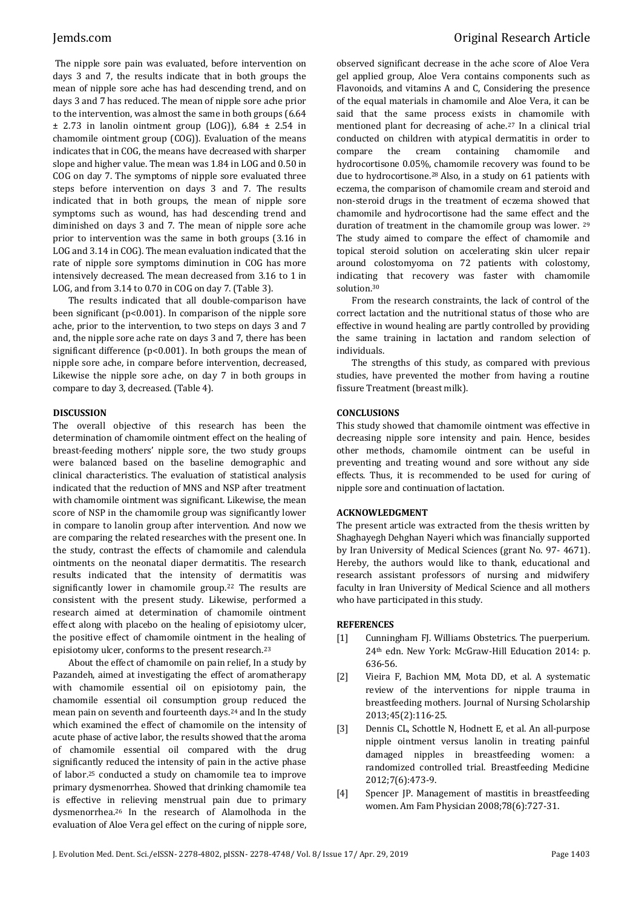The nipple sore pain was evaluated, before intervention on days 3 and 7, the results indicate that in both groups the mean of nipple sore ache has had descending trend, and on days 3 and 7 has reduced. The mean of nipple sore ache prior to the intervention, was almost the same in both groups (6.64  $±$  2.73 in lanolin ointment group (LOG)), 6.84  $±$  2.54 in chamomile ointment group (COG)). Evaluation of the means indicates that in COG, the means have decreased with sharper slope and higher value. The mean was 1.84 in LOG and 0.50 in COG on day 7. The symptoms of nipple sore evaluated three steps before intervention on days 3 and 7. The results indicated that in both groups, the mean of nipple sore symptoms such as wound, has had descending trend and diminished on days 3 and 7. The mean of nipple sore ache prior to intervention was the same in both groups (3.16 in LOG and 3.14 in COG). The mean evaluation indicated that the rate of nipple sore symptoms diminution in COG has more intensively decreased. The mean decreased from 3.16 to 1 in LOG, and from 3.14 to 0.70 in COG on day 7. (Table 3).

The results indicated that all double-comparison have been significant (p<0.001). In comparison of the nipple sore ache, prior to the intervention, to two steps on days 3 and 7 and, the nipple sore ache rate on days 3 and 7, there has been significant difference (p<0.001). In both groups the mean of nipple sore ache, in compare before intervention, decreased, Likewise the nipple sore ache, on day 7 in both groups in compare to day 3, decreased. (Table 4).

# **DISCUSSION**

The overall objective of this research has been the determination of chamomile ointment effect on the healing of breast-feeding mothers' nipple sore, the two study groups were balanced based on the baseline demographic and clinical characteristics. The evaluation of statistical analysis indicated that the reduction of MNS and NSP after treatment with chamomile ointment was significant. Likewise, the mean score of NSP in the chamomile group was significantly lower in compare to lanolin group after intervention. And now we are comparing the related researches with the present one. In the study, contrast the effects of chamomile and calendula ointments on the neonatal diaper dermatitis. The research results indicated that the intensity of dermatitis was significantly lower in chamomile group.<sup>22</sup> The results are consistent with the present study. Likewise, performed a research aimed at determination of chamomile ointment effect along with placebo on the healing of episiotomy ulcer, the positive effect of chamomile ointment in the healing of episiotomy ulcer, conforms to the present research.<sup>23</sup>

About the effect of chamomile on pain relief, In a study by Pazandeh, aimed at investigating the effect of aromatherapy with chamomile essential oil on episiotomy pain, the chamomile essential oil consumption group reduced the mean pain on seventh and fourteenth days.<sup>24</sup> and In the study which examined the effect of chamomile on the intensity of acute phase of active labor, the results showed that the aroma of chamomile essential oil compared with the drug significantly reduced the intensity of pain in the active phase of labor.<sup>25</sup> conducted a study on chamomile tea to improve primary dysmenorrhea. Showed that drinking chamomile tea is effective in relieving menstrual pain due to primary dysmenorrhea.<sup>26</sup> In the research of Alamolhoda in the evaluation of Aloe Vera gel effect on the curing of nipple sore, observed significant decrease in the ache score of Aloe Vera gel applied group, Aloe Vera contains components such as Flavonoids, and vitamins A and C, Considering the presence of the equal materials in chamomile and Aloe Vera, it can be said that the same process exists in chamomile with mentioned plant for decreasing of ache.<sup>27</sup> In a clinical trial conducted on children with atypical dermatitis in order to compare the cream containing chamomile and hydrocortisone 0.05%, chamomile recovery was found to be due to hydrocortisone.<sup>28</sup> Also, in a study on 61 patients with eczema, the comparison of chamomile cream and steroid and non-steroid drugs in the treatment of eczema showed that chamomile and hydrocortisone had the same effect and the duration of treatment in the chamomile group was lower. <sup>29</sup> The study aimed to compare the effect of chamomile and topical steroid solution on accelerating skin ulcer repair around colostomyoma on 72 patients with colostomy, indicating that recovery was faster with chamomile solution.<sup>30</sup>

From the research constraints, the lack of control of the correct lactation and the nutritional status of those who are effective in wound healing are partly controlled by providing the same training in lactation and random selection of individuals.

The strengths of this study, as compared with previous studies, have prevented the mother from having a routine fissure Treatment (breast milk).

# **CONCLUSIONS**

This study showed that chamomile ointment was effective in decreasing nipple sore intensity and pain. Hence, besides other methods, chamomile ointment can be useful in preventing and treating wound and sore without any side effects. Thus, it is recommended to be used for curing of nipple sore and continuation of lactation.

# **ACKNOWLEDGMENT**

The present article was extracted from the thesis written by Shaghayegh Dehghan Nayeri which was financially supported by Iran University of Medical Sciences (grant No. 97- 4671). Hereby, the authors would like to thank, educational and research assistant professors of nursing and midwifery faculty in Iran University of Medical Science and all mothers who have participated in this study.

# **REFERENCES**

- [1] Cunningham FJ. Williams Obstetrics. The puerperium. 24th edn. New York: McGraw-Hill Education 2014: p. 636-56.
- [2] Vieira F, Bachion MM, Mota DD, et al. A systematic review of the interventions for nipple trauma in breastfeeding mothers. Journal of Nursing Scholarship 2013;45(2):116-25.
- [3] Dennis CL, Schottle N, Hodnett E, et al. An all-purpose nipple ointment versus lanolin in treating painful damaged nipples in breastfeeding women: a randomized controlled trial. Breastfeeding Medicine 2012;7(6):473-9.
- [4] Spencer JP. Management of mastitis in breastfeeding women. Am Fam Physician 2008;78(6):727-31.